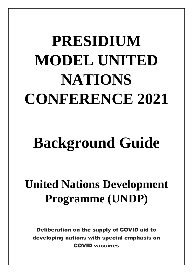# **PRESIDIUM MODEL UNITED NATIONS CONFERENCE 2021**

## **Background Guide**

### **United Nations Development Programme (UNDP)**

Deliberation on the supply of COVID aid to developing nations with special emphasis on COVID vaccines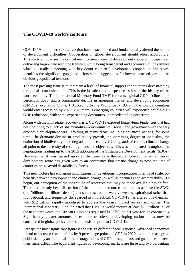#### **The COVID-19 world's contours**

COVID-19 and the economic reaction have exacerbated and fundamentally altered the nature of development difficulties. Cooperation on global development should adjust accordingly. This study emphasises the critical need for new forms of development cooperation capable of delivering large-scale resource transfers while being transparent and accountable. It examines what is actually happening with key donor countries' development cooperation initiatives, identifies the significant gaps, and offers some suggestions for how to proceed, despite the obvious geopolitical tensions.

The most pressing issue is to maintain a level of financial support for countries devastated by the global economic slump. This is the broadest and deepest recession in the history of the world economy. The International Monetary Fund (IMF) forecasts a global GDP decline of 4.9 percent in 2020, and a comparable decline in emerging market and developing economies (EMDEs) excluding China. 1 According to the World Bank, 93% of the world's countries would enter recession by 2020. 2 Numerous emerging countries will experience double-digit GDP reductions, with some experiencing downturns unprecedented in peacetime.

Along with the immediate recovery crisis, COVID-19 exposed longer-term tendencies that had been pointing to a lack of sustainability—environmental, social, and governance—in the way economic development was unfolding in many areas, including advanced nations, for some time. The dramatic decline in productivity growth, the increasing degree of inequality, the extinction of biodiversity, land degradation, ocean overfishing, and, of course, climate change all point to the necessity of resetting plans and objectives. This was anticipated throughout the negotiations leading up to the 2015 adoption of the Sustainable Development Goals (SDGs). However, what was agreed upon at the time as a theoretical concept of an enhanced development route has given way to an acceptance that drastic change is now required if countries are to avoid destabilising forces.

This new picture has enormous implications for development cooperation in terms of scale, cobenefits between development and climate change, as well as openness and accountability. To begin, our perception of the magnitude of resources that may be made available has shifted. There had already been discussion of the additional resources required to achieve the SDGs (the "billions to trillions" debate), but such discussions were viewed as aspirational rather than foundational, and frequently disregarded as impractical. COVID-19 has altered this dynamic, with \$12 trillion rapidly mobilised to address the virus's impact on key economies. The International Monetary Fund indicated that EMDEs would require at least \$2.5 trillion. 3 For the next three years, the African Union has requested \$100 billion per year for the continent. 4 Significantly greater amounts of resource transfers to developing nations must now be considered in global policy circles than existed prior to COVID-19.

Perhaps the most significant figure is the crisis's different fiscal response.Advanced economies intend to increase fiscal deficits by 9 percentage points of GDP in 2020 and to increase gross public debt by an additional 11 percentage points of GDP through loans and guarantees to keep their firms afloat. The equivalent figures in developing markets are three and two percentage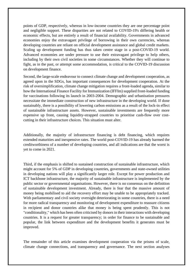points of GDP, respectively, whereas in low-income countries they are one percentage point and negligible support. These disparities are not related to COVID-19's differing health or economic effects, but are entirely a result of financial availability. Governments in advanced economies enjoy the extravagant privilege of borrowing in their own currencies, whereas developing countries are reliant on official development assistance and global credit markets. Scaling up development funding has thus taken centre stage in a post-COVID-19 world. Advanced economies are under pressure to use their extravagant privilege to help others, including by their own civil societies in some circumstances. Whether they will continue to fight, as in the past, or attempt some accommodation, is critical to the COVID-19 discussion on development finance.

Second, the large-scale endeavour to connect climate change and development cooperation, as agreed upon in the SDGs, has important consequences for development cooperation. At the risk of oversimplification, climate change mitigation requires a front-loaded agenda, similar to how the International Finance Facility for Immunization (IFFIm) supplied front-loaded funding for vaccinations following its launch in 2003-2004. Demographic and urbanisation pressures necessitate the immediate construction of new infrastructure in the developing world. If done sustainably, there is a possibility of lowering carbon emissions as a result of the lock-in effect of sustainable infrastructure assets. However, sustainable investments are frequently more expensive up front, causing liquidity-strapped countries to prioritise cash-flow over costcutting in their infrastructure choices. This situation must alter.

Additionally, the majority of infrastructure financing is debt financing, which requires extended maturities and inexpensive rates. The world post-COVID-19 has already harmed the creditworthiness of a number of developing countries, and all indications are that the worst is yet to come in 2021.

Third, if the emphasis is shifted to sustained construction of sustainable infrastructure, which might account for 5% of GDP in developing countries, governments and state-owned utilities in developing nations will play a significantly larger role. Except for power production and ICT backbone infrastructure, the majority of sustainable infrastructure is implemented by the public sector or governmental organisations. However, there is no consensus on the definition of sustainable development investment. Already, there is fear that the massive amount of money being mobilised to aid the recovery effort may be unable to be appropriately tracked. With parliamentary and civil society oversight deteriorating in some countries, there is a need for more radical transparency and monitoring of development expenditure to reassure citizens in recipient and donor countries alike that money is being spent prudently. This is not "conditionality," which has been often criticised by donors in their interactions with developing countries. It is a request for greater transparency; in order for finance to be sustainable and popular, the link between expenditure and the development benefits it generates must be improved.

The remainder of this article examines development cooperation via the prisms of scale, climate change connections, and transparency and governance. The next section analyses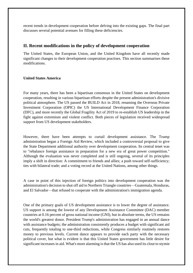recent trends in development cooperation before delving into the existing gaps. The final part discusses several potential avenues for filling these deficiencies.

#### **II. Recent modifications in the policy of development cooperation**

The United States, the European Union, and the United Kingdom have all recently made significant changes to their development cooperation practises. This section summarises these modifications.

#### **United States America**

For many years, there has been a bipartisan consensus in the United States on development cooperation, resulting in various bipartisan efforts despite the present administration's divisive political atmosphere. The US passed the BUILD Act in 2018, renaming the Overseas Private Investment Corporation (OPIC) the US International Development Finance Corporation (DFC), and more recently the Global Fragility Act of 2019 to re-establish US leadership in the fight against extremism and violent conflict. Both pieces of legislation received widespread support from US development stakeholders.

However, there have been attempts to curtail development assistance. The Trump administration began a Foreign Aid Review, which included a controversial proposal to give the State Department additional authority over development cooperation. Its central tenet was to "rebalance foreign assistance in preparation for a new era of great power competition." Although the evaluation was never completed and is still ongoing, several of its principles imply a shift in direction: A commitment to friends and allies; a push toward self-sufficiency; ties with bilateral trade; and a voting record at the United Nations, among other things.

A case in point of this injection of foreign politics into development cooperation was the administration's decision to shut off aid to Northern Triangle countries—Guatemala, Honduras, and El Salvador—that refused to cooperate with the administration's immigration agenda.

One of the primary goals of US development assistance is to lower the degree of assistance. US support is among the lowest of any Development Assistance Committee (DAC) member countries at 0.16 percent of gross national income (GNI), but in absolute terms, the US remains the world's greatest donor. President Trump's administration has engaged in an annual dance with assistance budgets; the administration consistently produces a budget with significant aid cuts, frequently totaling to one-third reductions, while Congress similarly routinely restores money to previous levels. Current dance appears to provide each party with the necessary political cover, but what is evident is that this United States government has little desire for significant increases in aid. What's more alarming is that the US has also used its clout to stymie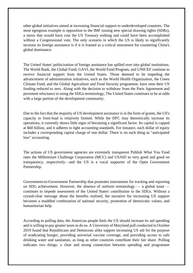other global initiatives aimed at increasing financial support to underdeveloped countries. The most egregious example is opposition to the IMF issuing new special drawing rights (SDRs), a move that would have cost the US Treasury nothing and could have been accomplished without a Congressional vote. The only scenario in which the US is likely to significantly increase its foreign assistance is if it is framed as a critical instrument for countering China's global dominance.

The United States' politicisation of foreign assistance has spilled over into global institutions. The World Bank, the Global Fund, GAVI, the World Food Program, and UNICEF continue to receive financial support from the United States. Those deemed to be impeding the advancement of administration initiatives, such as the World Health Organization, the Green Climate Fund, and the Global Agriculture and Food Security programme, have seen their US funding reduced to zero. Along with the decision to withdraw from the Paris Agreement and persistent reluctance to using the SDGs terminology, The United States continues to be at odds with a large portion of the development community.

Due to the fact that the majority of US development assistance is in the form of grants, the US's capacity to front-load is relatively limited. While the DFC may theoretically increase its operations, it currently shows little signs of becoming a significant factor. Its capital is capped at \$60 billion, and it adheres to tight accounting standards. For instance, each dollar of equity includes a corresponding capital charge of one dollar. There is no such thing as "anticipated loss" accounting.

The actions of US government agencies are extremely transparent Publish What You Fund rates the Millennium Challenge Corporation (MCC) and USAID as very good and good on transparency, respectively—and the US is a vocal supporter of the Open Government Partnership.

Government-to-Government Partnership that promotes instruments for tracking and reporting on SDG achievement. However, the absence of uniform terminology — a global issue continues to impede assessment of the United States' contribution to the SDGs. Without a crystal-clear message about the benefits realised, the narrative for increasing US support becomes a muddled combination of national security, promotion of democratic values, and humanitarian help.

According to polling data, the American people feels the US should increase its aid spending and is willing to pay greater taxes to do so. A University of Maryland poll conducted in October 2019 found that Republicans and Democrats alike support increasing US aid for the purpose of eradicating hunger, providing universal vaccine coverage, and providing access to safe drinking water and sanitation, as long as other countries contribute their fair share. Polling indicates two things: a clear and strong connection between spending and programme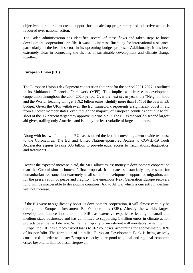objectives is required to create support for a scaled-up programme; and collective action is favoured over national action.

The Biden administration has identified several of these flaws and taken steps to boost development cooperation's profile. It wants to increase financing for international assistance, particularly in the health sector, in its upcoming budget proposal. Additionally, it has been extremely clear in connecting the themes of sustainable development and climate change together.

#### **European Union (EU)**

The European Union's development cooperation footprint for the period 2021-2027 is outlined in its Multiannual Financial Framework (MFF). This implies a little rise in development cooperation throughout the 2004-2020 period. Over the next seven years, the "Neighborhood and the World" heading will get 118.2 billion euros, slightly more than 10% of the overall EU budget. Given the UK's withdrawal, the EU framework represents a significant boost in aid from all other member states, even though the majority of European countries continue to fall short of the 0.7 percent target they approve in principle. 7 The EU is the world's second largest aid giver, trailing only America, and is likely the least volatile of large aid donors.

Along with its own funding, the EU has assumed the lead in convening a worldwide response to the Coronavirus. The EU and United Nations-sponsored Access to COVID-19 Tools Accelerator aspires to raise \$35 billion to provide equal access to vaccinations, diagnostics, and treatments.

Despite the expected increase in aid, the MFF allocates less money to development cooperation than the Commission technocrats' first proposal. It allocates substantially larger sums for humanitarian assistance but extremely small sums for development support.for migration, and for the preservation of peace and fragility. The enormous Next Generation Europe recovery fund will be inaccessible to developing countries. Aid to Africa, which is currently in decline, will not increase.

If the EU were to significantly boost its development cooperation, it will almost certainly be through the European Investment Bank's operations (EIB). Already the world's largest development finance institution, the EIB has extensive experience lending to small and medium-sized businesses and has committed to supporting 1 trillion euros in climate action projects over the next decade. While the majority of investment will inevitably remain within Europe, the EIB has already issued loans to 162 countries, accounting for approximately 10% of its portfolio. The formation of an allied European Development Bank is being actively considered in order to bolster Europe's capacity to respond to global and regional economic crises beyond its limited fiscal firepower.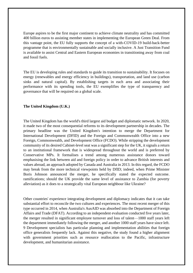Europe aspires to be the first major continent to achieve climate neutrality and has committed 400 billion euros to assisting member states in implementing the European Green Deal. From this vantage point, the EU fully supports the concept of a with-COVID-19 build-back-better programme that is environmentally sustainable and socially inclusive. A Just Transition Fund is available to assist Central and Eastern European economies in transitioning away from coal and fossil fuels.

The EU is developing rules and standards to guide its transition to sustainability. It focuses on energy (renewables and energy efficiency in buildings), transportation, and land use (carbon sinks and natural capital). By establishing targets in each area and associating their performance with its spending tools, the EU exemplifies the type of transparency and governance that will be required on a global scale.

#### **The United Kingdom (U.K.)**

The United Kingdom has the world's third largest aid budget and diplomatic network. In 2020, it made two of the most consequential reforms to its development partnership in decades. The primary headline was the United Kingdom's intention to merge the Department for International Development (DFID) and the Foreign and Commonwealth Office into a new Foreign, Commonwealth, and Development Office (FCDO). While stripping the development community of its desired Cabinet-level seat was a significant step for the UK, it signals a return to an institutional framework that is widespread throughout the world and is preferred by Conservative MPs. It formalises a trend among numerous assistance donors toward emphasising the link between aid and foreign policy in order to advance British interests and values abroad, an approach adopted by Canada and Australia in 2013. In this regard, the FCDO may break from the more technical viewpoints held by DfID; indeed, when Prime Minister Boris Johnson announced the merger, he specifically stated the expected outcome. ramifications; should the UK provide the same level of assistance to Zambia (for poverty alleviation) as it does to a strategically vital European neighbour like Ukraine?

Other countries' experience integrating development and diplomacy indicates that it can take substantial effort to reconcile the two cultures and experiences. The most recent merger of this type occurred in 2014, when Australia's AusAID was absorbed into the Department of Foreign Affairs and Trade (DFAT). According to an independent evaluation conducted five years later, the merger resulted in significant employee turnover and loss of talent—1000 staff years left the department immediately following the merger, and another 1000 staff years have since left. 9 Development specialists has particular planning and implementation abilities that foreign office generalists frequently lack. Against this negative, the study found a higher alignment with government priorities such as resource reallocation to the Pacific, infrastructure development, and humanitarian assistance.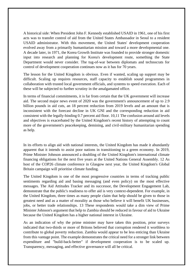A historical side: When President John F. Kennedy established USAID in 1961, one of his first acts was to transfer control of aid from the United States Ambassador in Seoul to a resident USAID administrator. With this movement, the United States' development cooperation evolved away from a primarily humanitarian mission and toward a more developmental one. A decade later, in 1971, the Korea Growth Institute was founded to provide stronger domestic input into research and planning for Korea's development route, something the State Department would never consider. The tug-of-war between diplomats and technocrats for control of development cooperation continues now as it has for 70 years.

The lesson for the United Kingdom is obvious. Even if wanted, scaling up support may be difficult. Scaling up requires resources, staff capacity to establish sound programmes in collaboration with trusted local government officials, and systems to speed execution. Each of these will be subjected to further scrutiny in the amalgamated office.

In terms of financial commitments, it is far from certain that the UK government will increase aid. The second major news event of 2020 was the government's announcement of up to 2.9 billion pounds in aid cuts, an 18 percent reduction from 2019 levels and an amount that is inconsistent with the forecast decline in UK GNI and the corresponding reduction in aid consistent with the legally-binding 0.7 percent aid floor. 10,11 The confusion around aid levels and objectives is exacerbated by the United Kingdom's recent history of attempting to count more of the government's peacekeeping, demining, and civil-military humanitarian spending as help.

In its efforts to align aid with national interests, the United Kingdom has made it abundantly apparent that it intends to assist poor nations in transitioning to a green economy. In 2019, Prime Minister Johnson announced a doubling of the United Kingdom's international climate financing obligations for the next five years at the United Nations General Assembly. 12 As host of the COP26 climate conference in Glasgow next year, the United Kingdom's Global Britain campaign will prioritise climate funding.

The United Kingdom is one of the most progressive countries in terms of tracking public sentiments regarding aid and basing messaging (and even policy) on the most effective messages. The Aid Attitudes Tracker and its successor, the Development Engagement Lab, demonstrate that the public's readiness to offer aid is very context-dependent. For example, in the United Kingdom, three times as many people claim that help should be given to those in greatest need and as a matter of morality as those who believe it will benefit UK businesses, jobs, or better trade relationships. 13 These respondents would take a dim view of Prime Minister Johnson's argument that help to Zambia should be reduced in favour of aid to Ukraine because the United Kingdom has a higher national interest in Ukraine.

As an indication of why the prime minister may have taken this position, prior surveys indicated that two-thirds or more of Britons believed that corruption rendered it worthless to contribute to global poverty reduction. Zambia would appear to be less enticing than Ukraine from this vantage point. The example demonstrates the critical need for a stronger link between expenditure and "build-back-better" if development cooperation is to be scaled up. Transparency, messaging, and effective governance will all be critical.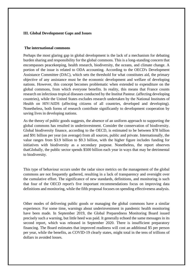#### **III. Global Development Gaps and Issues**

#### **The international commons**

Perhaps the most glaring gap in global development is the lack of a mechanism for debating burden sharing and responsibility for the global commons. This is a long-standing concern that encompasses peacekeeping, health research, biodiversity, the oceans, and climate change. A portion of the issue is related to ODA accounting. According to the OECD's Development Assistance Committee (DAC), which sets the threshold for what constitutes aid, the primary objective of any assistance must be the economic development and welfare of developing nations. However, this concept becomes problematic when extended to expenditure on the global commons, from which everyone benefits. In reality, this means that France counts research on infectious tropical diseases conducted by the Institut Pasteur. (affecting developing countries), while the United States excludes research undertaken by the National Institutes of Health on HIV/AIDS (affecting citizens of all countries, developed and developing). Nonetheless, both forms of research contribute significantly to development cooperation by saving lives in developing nations.

As the theory of public goods suggests, the absence of an uniform approach to supporting the global commons has resulted in underinvestment. Consider the conservation of biodiversity. Global biodiversity finance, according to the OECD, is estimated to be between \$78 billion and \$91 billion per year (on average) from all sources, public and private. Internationally, the value ranges from \$3.9 billion to \$9.3 billion, with the higher figure includes funding for initiatives with biodiversity as a secondary purpose. Nonetheless, the report observes thatGlobally, the public sector spends \$500 billion each year in ways that may be detrimental to biodiversity.

This type of behaviour occurs under the radar since metrics on the management of the global commons are not frequently gathered, resulting in a lack of transparency and oversight over the cumulative effort. The significance of new standards, definitions, and monitoring is such that four of the OECD report's five important recommendations focus on improving data definitions and monitoring, while the fifth proposal focuses on spending effectiveness analysis.

Other modes of delivering public goods or managing the global commons have a similar experience. For some time, warnings about underinvestment in pandemic health monitoring have been made. In September 2019, the Global Preparedness Monitoring Board issued precisely such a warning, but little heed was paid. It generally echoed the same messages in its second report, which was released in September 2020. There is insufficient preparatory financing. The Board estimates that improved readiness will cost an additional \$5 per person per year, while the benefits, as COVID-19 clearly states, might total in the tens of trillions of dollars in avoided losses.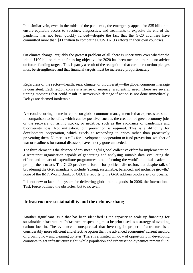In a similar vein, even in the midst of the pandemic, the emergency appeal for \$35 billion to ensure equitable access to vaccines, diagnostics, and treatments to expedite the end of the pandemic has not been quickly funded—despite the fact that the G-20 countries have committed more than \$11 trillion to combating COVID-19's effects in their own countries.

On climate change, arguably the greatest problem of all, there is uncertainty over whether the initial \$100 billion climate financing objective for 2020 has been met, and there is no advice on future funding targets. This is partly a result of the recognition that carbon reduction pledges must be strengthened and that financial targets must be increased proportionately.

Regardless of the sector—health, seas, climate, or biodiversity—the global commons message is consistent. Each region conveys a sense of urgency, a scientific need. There are several tipping moments that could result in irreversible damage if action is not done immediately. Delays are deemed intolerable.

A second recurring theme in reports on global commons management is that expenses are small in comparison to benefits, which can be positive, such as the creation of green economy jobs or the recovery of fishing stocks, or negative, such as the avoidance of pandemics and biodiversity loss. Not mitigation, but prevention is required. This is a difficulty for development cooperation, which excels at responding to crises rather than proactively preventing them. Numerous calls for development cooperation to fund prevention, whether of war or readiness for natural disasters, have mostly gone unheeded.

The third element is the absence of any meaningful global collective effort for implementation: a secretariat organisation capable of generating and analysing suitable data, evaluating the efforts and impact of expenditure programmes, and informing the world's political leaders to prompt them to act. The G-20 provides a forum for political discussion, but despite talk of broadening the G-20 mandate to include "strong, sustainable, balanced, and inclusive growth," none of the IMF, World Bank, or OECD's reports to the G-20 address biodiversity or oceans.

It is not new to lack of a system for delivering global public goods. In 2006, the International Task Force outlined the obstacles, but to no avail.

#### **Infrastructure sustainability and the debt overhang**

Another significant issue that has been identified is the capacity to scale up financing for sustainable infrastructure. Infrastructure spending must be prioritised as a strategy of avoiding carbon lock-in. The evidence is unequivocal that investing in proper infrastructure is a considerably more efficient and effective option than the advanced economies' current method of growing now and cleaning up later. There is a limited window of opportunity in developing countries to get infrastructure right, while population and urbanisation dynamics remain fluid.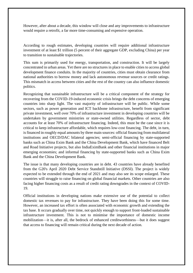However, after about a decade, this window will close and any improvements to infrastructure would require a retrofit, a far more time-consuming and expensive operation.

According to rough estimates, developing countries will require additional infrastructure investment of at least \$1 trillion (5 percent of their aggregate GDP, excluding China) per year to transition to sustainable trajectories.

This sum is primarily used for energy, transportation, and construction. It will be largely concentrated in urban areas. Yet there are no structures in place to enable cities to access global development finance conduits. In the majority of countries, cities must obtain clearance from national authorities to borrow money and lack autonomous revenue sources or credit ratings. This mismatch in access between cities and the rest of the country can also influence domestic politics.

Recognizing that sustainable infrastructure will be a critical component of the strategy for recovering from the COVID-19-induced economic crisis brings the debt concerns of emerging countries into sharp light. The vast majority of infrastructure will be public. While some sectors, such as power generation and ICT backbone infrastructure, benefit from significant private investment, well over 70% of infrastructure investment in developing countries will be undertaken by government ministries or state-owned utilities. Regardless of sector, debt accounts for at least 70% of infrastructure financing. Indeed, this must be the case since it is critical to keep infrastructure affordable, which requires low-cost financing. The debt, in turn, is financed in roughly equal amounts by three main sources: official financing from multilateral institutions and OECD/DAC bilateral agencies; semi-official financing by state-supported banks such as China Exim Bank and the China Development Bank, which have financed Belt and Road Initiative projects, but also IndiaEximBank and other financial institutions in major emerging economies; and informal financing by state-supported banks such as China Exim Bank and the China Development Bank.

The issue is that many developing countries are in debt. 43 countries have already benefited from the G20's April 2020 Debt Service Standstill Initiative (DSSI). The project is widely expected to be extended through the end of 2021 and may also see its scope enlarged. These countries will struggle to raise financing on global financial markets. Other countries are also facing higher financing costs as a result of credit rating downgrades in the context of COVID-19.

Official institutions in developing nations make extensive use of the potential to collect domestic tax revenues to pay for infrastructure. They have been doing this for some time. However, an increased tax effort is often associated with economic growth and extending the tax base. It occurs gradually over time, not quickly enough to support front-loaded sustainable infrastructure investment. This is not to minimise the importance of domestic income mobilization—it is, after all, the bedrock of enhanced creditworthiness—but it does suggest that access to financing will remain critical during the next decade of action.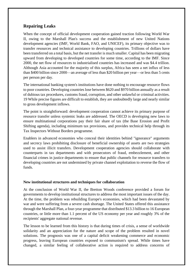#### **Repairing Leaks**

When the concept of official development cooperation gained traction following World War II, owing to the Marshall Plan's success and the establishment of new United Nations development agencies (IMF, World Bank, FAO, and UNICEF), its primary objective was to transfer resources and technical assistance to developing countries. Trillions of dollars have been transferred on a total basis, but the net transfer is much smaller. Capital has been migrating upward from developing to developed countries for some time, according to the IMF. Since 2000, the net flow of resources to industrialised countries has increased and was \$4.4 trillion. Although Asia accounted for the majority of this surplus, Africa has seen a net influx of less than \$400 billion since 2000—an average of less than \$20 billion per year—or less than 5 cents per person per day.

The international banking system's institutions have done nothing to encourage resource flows to poor countries. Developing countries lose between \$620 and \$970 billion annually as a result of dubious tax procedures, customs fraud, corruption, and other unlawful or criminal activities. 19 While precise figures are difficult to establish, they are undoubtedly large and nearly similar to gross development inflows.

The point is straightforward: development cooperation cannot achieve its primary purpose of resource transfer unless systemic leaks are addressed. The OECD is developing new laws to ensure multinational corporations pay their fair share of tax (the Base Erosion and Profit Shifting agenda), including minimum tax provisions, and provides technical help through its Tax Inspectors Without Borders programme.

Enablers in advanced economies who conceal their identities behind "ignorance" arguments and secrecy laws prohibiting disclosure of beneficial ownership of assets are two strategies used to assist illicit transfers. Development cooperation agencies should collaborate with counterparts in tax departments and with prosecutors of fraud, embezzlement, and other financial crimes in justice departments to ensure that public channels for resource transfers to developing countries are not undermined by private channel exploitation to reverse the flow of funds.

#### **New institutional structures and techniques for collaboration**

At the conclusion of World War II, the Bretton Woods conference provided a forum for governments to develop institutional structures to address the most important issues of the day. At the time, the problem was rebuilding Europe's economies, which had been devastated by war and were suffering from a severe cash shortage. The United States offered this assistance through the Marshall Plan, a four-year programme that distributed \$13.3 billion to 16 European countries, or little more than 1.1 percent of the US economy per year and roughly 3% of the recipients' aggregate national revenue.

The lesson to be learned from this history is that during times of crisis, a sense of worldwide solidarity and an appreciation for the nature and scope of the problem resulted in novel solutions. The prognosis was one of a capital deficit weakening commerce and economic progress, leaving European countries exposed to communism's spread. While times have changed, a similar feeling of collaborative action is required to address concerns of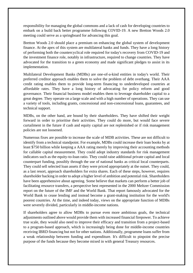responsibility for managing the global commons and a lack of cash for developing countries to embark on a build back better programme following COVID-19. A new Bretton Woods 2.0 meeting could serve as a springboard for advancing this goal.

Bretton Woods 2.0 should place a premium on enhancing the global system of development finance. At the apex of this system are multilateral banks and funds. They have a long history of performing both the countercyclical role required for today's recovery from COVID-19 and the investment finance role, notably in infrastructure, required to change countries. They have advocated for the transition to a green economy and made significant pledges to assist in its implementation.

Multilateral Development Banks (MDBs) are one-of-a-kind entities in today's world. Their preferred creditor approach enables them to solve the problem of debt overhang. Their AAA credit rating enables them to provide long-term financing to underdeveloped countries at affordable rates. They have a long history of advocating for policy reform and good governance. Their financial business model enables them to leverage shareholder capital to a great degree. They operate on a large scale and with a high number of operations. They can use a variety of tools, including grants, concessional and non-concessional loans, guarantees, and technical support.

MDBs, on the other hand, are bound by their shareholders. They have shifted their weight forward in order to prioritise their activities. They could do more, but would face severe curtailment in the future if cash and equity capital are not replenished or if risk management policies are not loosened.

Numerous fixes are possible to increase the scale of MDB activities. These are not difficult to identify from a technical standpoint. For example, MDBs could increase their loan books by at least \$750 billion while keeping a AAA rating merely by improving their accounting methods for callable capital measurement. They could adopt industry standards for risk management indicators such as the equity-to-loan ratio. They could raise additional private capital and local counterpart funding, possibly through the use of national banks as critical local counterparts. They could sell selected loan assets if they were priced appropriately at the outset. They could, as a last resort, approach shareholders for extra shares. Each of these steps, however, requires shareholder backing in order to adopt a higher level of ambition and potential risk. Shareholders have been apprehensive about agreeing. Some believe that markets can perform a better job of facilitating resource transfers, a perspective best represented in the 2000 Meltzer Commission report on the future of the IMF and the World Bank. That report famously advocated for the World Bank to cease lending and instead become a grant-making institution for the world's poorest countries. At the time, and indeed today, views on the appropriate function of MDBs were severely divided, particularly in middle-income nations.

If shareholders agree to allow MDBs to pursue even more ambitious goals, the technical adjustments outlined above would provide them with increased financial firepower. To achieve true scale, they would also need to improve their efficacy and transition from a project-based to a program-based approach, which is increasingly being done for middle-income countries receiving IBRD financing but not for other nations. Additionally, programme loans suffer from a weak relationship between funding and expenditure. It's difficult to pinpoint the precise purpose of the funds because they become mixed in with general Treasury resources.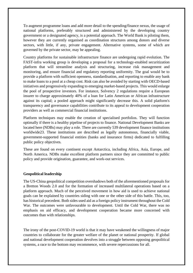To augment programme loans and add more detail to the spending/finance nexus, the usage of national platforms, preferably structured and administered by the developing country government or a designated agency, is a potential approach. The World Bank is piloting them, however they are currently organised as coordination structures among donors and diverse sectors, with little, if any, private engagement. Alternative systems, some of which are governed by the private sector, may be appealing.

Country platforms for sustainable infrastructure finance are undergoing rapid evolution. The FAST-infra working group is developing a proposal for a technology-enabled securitization platform that will streamline analysis and structuring, increase risk management and monitoring, and ensure financial and regulatory reporting uniformity. The goal would be to provide a platform with sufficient openness, standardisation, and reporting to enable any bank to make loans to a pool at a cheap cost. Risk can also be avoided by starting with OECD-based initiatives and progressively expanding to emerging market-based projects. This would enlarge the pool of prospective investors. For instance, Solvency 2 regulations require a European insurer to charge approximately 40% of a loan for Latin American or African infrastructure against its capital; a pooled approach might significantly decrease this. A solid platform's transparency and governance capabilities contribute to its appeal to development cooperation providers as well as commercial financial institutions.

Platform techniques may enable the creation of specialised portfolios. They will function optimally if there is a healthy pipeline of projects to finance. National Development Banks are located here (NDBs) may play a role. There are currently 539 development finance institutions worldwide23. These institutions are described as legally autonomous, financially viable, government-supported financial entities (banks and insurance firms) dedicated to fulfilling public policy objectives.

These are found on every continent except Antarctica, including Africa, Asia, Europe, and North America. NDBs make excellent platform partners since they are committed to public policy and provide origination, guarantee, and work-out services.

#### **Geopolitical leadership**

The US-China geopolitical competition overshadows both of the aforementioned proposals for a Bretton Woods 2.0 and for the formation of increased multilateral operations based on a platform approach. Much of the perceived movement in how aid is used to achieve national goals can be explained by countries siding with one or the other side of this battle. This, too, has historical precedent. Both sides used aid as a foreign policy instrument throughout the Cold War. The outcomes were unfavourable to development. Until the Cold War, there was no emphasis on aid efficacy, and development cooperation became more concerned with outcomes than with relationships.

The irony of the post-COVID-19 world is that it may have weakened the willingness of major countries to collaborate for the greater welfare of the planet or national prosperity. If global and national development cooperation devolves into a struggle between opposing geopolitical systems, a race to the bottom may recommence, with severe repercussions for all.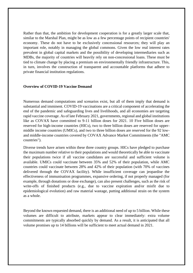Rather than that, the ambition for development cooperation is for a greatly larger scale that, similar to the Marshal Plan, might be as low as a few percentage points of recipient countries' economy. These do not have to be exclusively concessional resources; they will play an important role, notably in managing the global commons. Given the low real interest rates prevalent in global capital markets and the possibility of developing intermediaries such as MDBs, the majority of countries will heavily rely on non-concessional loans. These must be tied to climate change by placing a premium on environmentally friendly infrastructure. This, in turn, involves the construction of transparent and accountable platforms that adhere to private financial institution regulations.

#### **Overview of COVID-19 Vaccine Demand**

Numerous demand computations and scenarios exist, but all of them imply that demand is substantial and imminent. COVID-19 vaccinations are a critical component of accelerating the end of the pandemic and safeguarding lives and livelihoods, and all economies are targeting rapid vaccine coverage. As of late February 2021, governments, regional and global institutions like as COVAX have committed to 9-11 billion doses for 2021. 10 Five billion doses are reserved for high-income countries (HICs), two to three billion doses are reserved for uppermiddle income countries (UMICs), and two to three billion doses are reserved for the 92 lowand middle-income countries covered by COVAX Advance Market Commitments (the "AMC countries").

Diverse trends have arisen within these three country groups. HICs have pledged to purchase the maximum number relative to their populations and would theoretically be able to vaccinate their populations twice if all vaccine candidates are successful and sufficient volume is available. UMICs could vaccinate between 35% and 52% of their population, while AMC countries could vaccinate between 28% and 42% of their population (with 70% of vaccines delivered through the COVAX facility). While insufficient coverage can jeopardise the effectiveness of immunisation programmes, expansive ordering, if not properly managed (for example, through donations or dose exchange), can also present challenges, such as the risk of write-offs of finished products (e.g., due to vaccine expiration and/or misfit due to epidemiological evolution) and raw material wastage, putting additional strain on the system as a whole.

Beyond the known requested demand, there is an additional need of up to 5 billion. While these volumes are difficult to attribute, markets appear to clear immediately: extra volume commitments are typically absorbed quickly by demand. As a result, it is anticipated that all volume promises up to 14 billions will be sufficient to meet actual demand in 2021.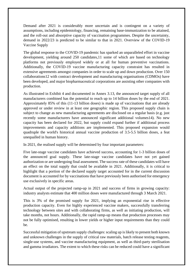Demand after 2021 is considerably more uncertain and is contingent on a variety of assumptions, including epidemiology, financing, remaining base-immunization to be attained, and the roll-out and absorptive capacity of vaccination programmes. Despite the uncertainty, demand in 2022/23 is predicted to be similar to that in 2021. Overview of the COVID-19 Vaccine Supply

The global response to the COVID-19 pandemic has sparked an unparalleled effort in vaccine development, yielding around 250 candidates,11 some of which are based on technology platforms not previously employed widely or at all for human preventive vaccinations. Additionally, the COVID-19 vaccine manufacturing capacity constraint has resulted in extensive agreements amongst companies in order to scale up and down production. Over 150 collaborations12 with contract development and manufacturing organisations (CDMOs) have been developed, and major biopharmaceutical corporations are assisting other companies with production.

As illustrated in Exhibit 4 and documented in Annex 3.13, the announced target supply of all manufacturers combined has the potential to reach up to 14 billion doses by the end of 2021. Approximately 85% of this (11-13 billion doses) is made up of vaccinations that are already approved or under review in at least one geographic region. This proposed supply chain is subject to change as new manufacturing agreements are disclosed on a regular basis (e.g. just recently some manufacturers have announced significant additional volumes14). No new capacity has been declared for 2022, but supply could expand further if additional process improvements and capacity additions are implemented. This proposed expansion would quadruple the world's historical annual vaccine production of 3.5-5.5 billion doses, a feat unequalled in human history.

In 2021, the realised supply will be determined by four important parameters:

Five late-stage vaccine candidates have achieved success, accounting for 1-3 billion doses of the announced goal supply. These late-stage vaccine candidates have not yet gained authorization or are undergoing final assessment. The success rate of these candidates will have an effect on the total supply that could be available in 2021. Additionally, it is critical to highlight that a portion of the declared supply target accounted for in the current discussion document is accounted for by vaccinations that have previously been authorised for emergency use exclusively in specific areas.

Actual output of the projected ramp-up in 2021 and success of firms in growing capacity: industry analysts estimate that 400 million doses were manufactured through 3 March 2021.

This is 3% of the promised supply for 2021, implying an exponential rise in effective production capacity. Even for highly experienced vaccine makers, successfully transferring technology between sites and with collaborating firms, as well as initiating production, will take months, not hours. Additionally, the rapid ramp-up means that production processes may not be fully optimised, resulting in lower yields or higher input requirements than they could be.

Successful mitigation of upstream supply challenges: scaling up is likely to present both known and unknown challenges in the supply of critical raw materials, batch release testing reagents, single-use systems, and vaccine manufacturing equipment, as well as third-party sterilisation and gamma irradiators. The extent to which these risks can be reduced could have a significant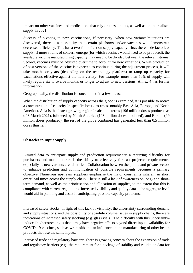impact on other vaccines and medications that rely on these inputs, as well as on the realised supply in 2021.

Success of pivoting to new vaccinations, if necessary: when new variants/mutations are discovered, there is a possibility that certain platforms and/or vaccines will demonstrate decreased efficiency. This has a two-fold effect on supply capacity: first, there is de facto less supply. If more strains of concern emerge (for which vaccines would need to be produced), the available vaccine manufacturing capacity may need to be divided between the relevant strains. Second, vaccines must be adjusted over time to account for new variations. While production of past versions of the vaccine is expected to continue during the adjustment process, it will take months or years (depending on the technology platform) to ramp up capacity for vaccinations effective against the new variety. For example, more than 50% of supply will likely require six to twelve months or longer to adjust to new versions. Annex 4 has further information.

Geographically, the distribution is concentrated in a few areas:

When the distribution of supply capacity across the globe is examined, it is possible to notice a concentration of capacity in specific locations (most notably East Asia, Europe, and North America). Asia is the fastest growing region in absolute terms (196 million doses produced as of 3 March 2021), followed by North America (103 million doses produced), and Europe (99 million doses produced); the rest of the globe combined has generated less than 0.5 million doses thus far.

#### **Obstacles to Input Supply**

Limited data to anticipate supply and production requirements: a recurring difficulty for purchasers and manufacturers is the ability to effectively forecast projected requirements, especially as new variants are identified. Collaboration between the public and private sectors to enhance predicting and communication of possible requirements becomes a primary objective. Numerous upstream suppliers emphasise the major constraints inherent in short order lead times across the supply chain. There is still a lack of awareness on long- and shortterm demand, as well as the prioritisation and allocation of supplies, to the extent that this is compliance with current regulations. Increased visibility and quality data at the aggregate level would aid in planning and assist in anticipating possible capacity problems.

Increased safety stocks: in light of this lack of visibility, the uncertainty surrounding demand and supply situations, and the possibility of absolute volume issues in supply chains, there are indications of increased safety stocking (e.g. glass vials). The difficulty with this uncertaintyinduced higher stocking is that it may have negative effects beyond direct input availability for COVID-19 vaccines, such as write-offs and an influence on the manufacturing of other health products that use the same inputs.

Increased trade and regulatory barriers: There is growing concern about the expansion of trade and regulatory barriers (e.g., the requirement for a package of stability and validation data for